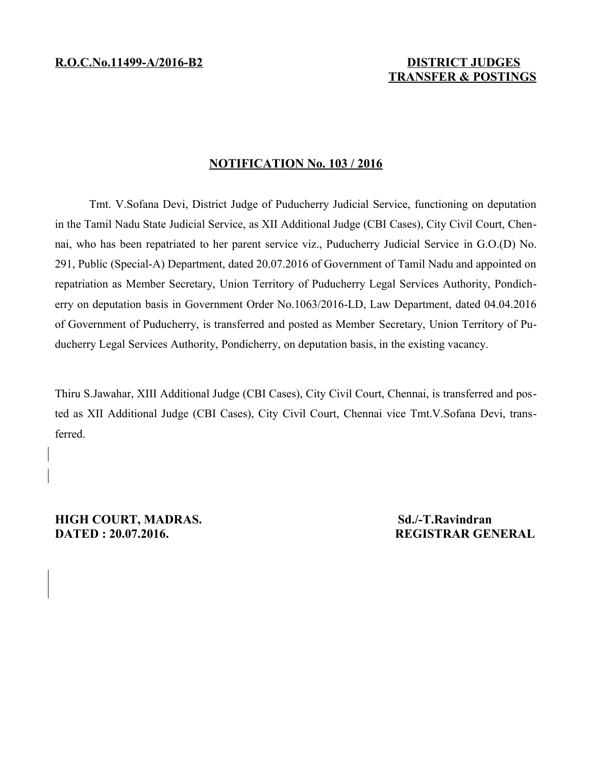## **TRANSFER & POSTINGS**

## **NOTIFICATION No. 103 / 2016**

Tmt. V.Sofana Devi, District Judge of Puducherry Judicial Service, functioning on deputation in the Tamil Nadu State Judicial Service, as XII Additional Judge (CBI Cases), City Civil Court, Chennai, who has been repatriated to her parent service viz., Puducherry Judicial Service in G.O.(D) No. 291, Public (Special-A) Department, dated 20.07.2016 of Government of Tamil Nadu and appointed on repatriation as Member Secretary, Union Territory of Puducherry Legal Services Authority, Pondicherry on deputation basis in Government Order No.1063/2016-LD, Law Department, dated 04.04.2016 of Government of Puducherry, is transferred and posted as Member Secretary, Union Territory of Puducherry Legal Services Authority, Pondicherry, on deputation basis, in the existing vacancy.

Thiru S.Jawahar, XIII Additional Judge (CBI Cases), City Civil Court, Chennai, is transferred and posted as XII Additional Judge (CBI Cases), City Civil Court, Chennai vice Tmt.V.Sofana Devi, transferred.

**HIGH COURT, MADRAS.** Sd./-T.Ravindran **DATED : 20.07.2016.** REGISTRAR GENERAL